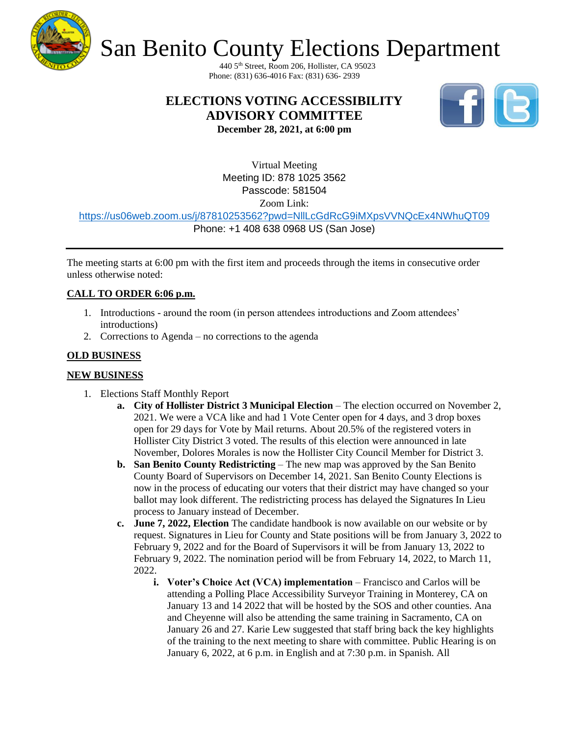

# San Benito County Elections Department

440 5th Street, Room 206, Hollister, CA 95023 Phone: (831) 636-4016 Fax: (831) 636- 2939

### **ELECTIONS VOTING ACCESSIBILITY ADVISORY COMMITTEE**



**December 28, 2021, at 6:00 pm**

Virtual Meeting Meeting ID: 878 1025 3562 Passcode: 581504 Zoom Link:

<https://us06web.zoom.us/j/87810253562?pwd=NllLcGdRcG9iMXpsVVNQcEx4NWhuQT09>

Phone: +1 408 638 0968 US (San Jose)

The meeting starts at 6:00 pm with the first item and proceeds through the items in consecutive order unless otherwise noted:

### **CALL TO ORDER 6:06 p.m.**

- 1. Introductions around the room (in person attendees introductions and Zoom attendees' introductions)
- 2. Corrections to Agenda no corrections to the agenda

### **OLD BUSINESS**

### **NEW BUSINESS**

- 1. Elections Staff Monthly Report
	- **a. City of Hollister District 3 Municipal Election** The election occurred on November 2, 2021. We were a VCA like and had 1 Vote Center open for 4 days, and 3 drop boxes open for 29 days for Vote by Mail returns. About 20.5% of the registered voters in Hollister City District 3 voted. The results of this election were announced in late November, Dolores Morales is now the Hollister City Council Member for District 3.
	- **b. San Benito County Redistricting** The new map was approved by the San Benito County Board of Supervisors on December 14, 2021. San Benito County Elections is now in the process of educating our voters that their district may have changed so your ballot may look different. The redistricting process has delayed the Signatures In Lieu process to January instead of December.
	- **c. June 7, 2022, Election** The candidate handbook is now available on our website or by request. Signatures in Lieu for County and State positions will be from January 3, 2022 to February 9, 2022 and for the Board of Supervisors it will be from January 13, 2022 to February 9, 2022. The nomination period will be from February 14, 2022, to March 11, 2022.
		- **i. Voter's Choice Act (VCA) implementation** Francisco and Carlos will be attending a Polling Place Accessibility Surveyor Training in Monterey, CA on January 13 and 14 2022 that will be hosted by the SOS and other counties. Ana and Cheyenne will also be attending the same training in Sacramento, CA on January 26 and 27. Karie Lew suggested that staff bring back the key highlights of the training to the next meeting to share with committee. Public Hearing is on January 6, 2022, at 6 p.m. in English and at 7:30 p.m. in Spanish. All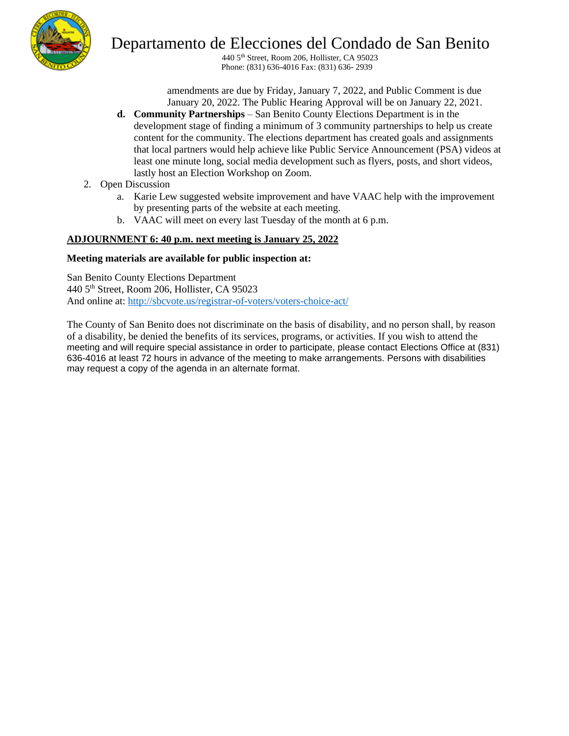

### Departamento de Elecciones del Condado de San Benito

440 5th Street, Room 206, Hollister, CA 95023 Phone: (831) 636-4016 Fax: (831) 636- 2939

amendments are due by Friday, January 7, 2022, and Public Comment is due January 20, 2022. The Public Hearing Approval will be on January 22, 2021.

- **d. Community Partnerships** San Benito County Elections Department is in the development stage of finding a minimum of 3 community partnerships to help us create content for the community. The elections department has created goals and assignments that local partners would help achieve like Public Service Announcement (PSA) videos at least one minute long, social media development such as flyers, posts, and short videos, lastly host an Election Workshop on Zoom.
- 2. Open Discussion
	- a. Karie Lew suggested website improvement and have VAAC help with the improvement by presenting parts of the website at each meeting.
	- b. VAAC will meet on every last Tuesday of the month at 6 p.m.

### **ADJOURNMENT 6: 40 p.m. next meeting is January 25, 2022**

#### **Meeting materials are available for public inspection at:**

San Benito County Elections Department 440 5th Street, Room 206, Hollister, CA 95023 And online at:<http://sbcvote.us/registrar-of-voters/voters-choice-act/>

The County of San Benito does not discriminate on the basis of disability, and no person shall, by reason of a disability, be denied the benefits of its services, programs, or activities. If you wish to attend the meeting and will require special assistance in order to participate, please contact Elections Office at (831) 636-4016 at least 72 hours in advance of the meeting to make arrangements. Persons with disabilities may request a copy of the agenda in an alternate format.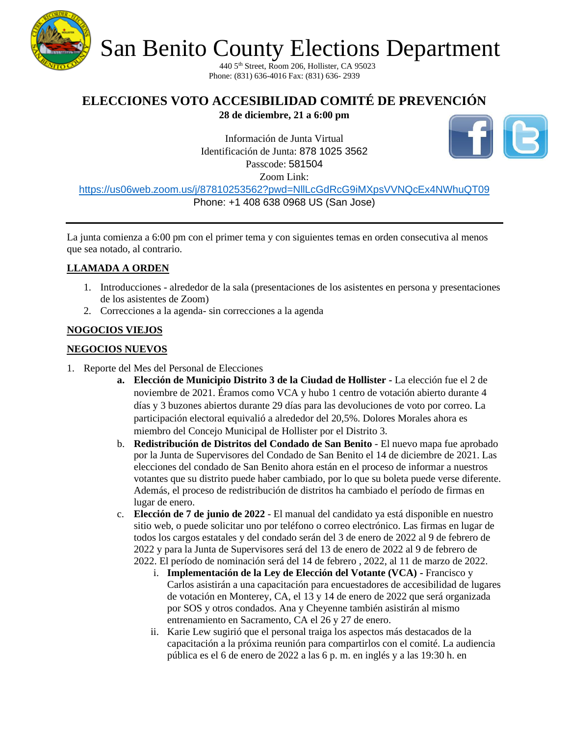

San Benito County Elections Department

440 5th Street, Room 206, Hollister, CA 95023 Phone: (831) 636-4016 Fax: (831) 636- 2939

## **ELECCIONES VOTO ACCESIBILIDAD COMITÉ DE PREVENCIÓN**

**28 de diciembre, 21 a 6:00 pm** 

Información de Junta Virtual Identificación de Junta: 878 1025 3562 Passcode: 581504 Zoom Link:

<https://us06web.zoom.us/j/87810253562?pwd=NllLcGdRcG9iMXpsVVNQcEx4NWhuQT09> Phone: +1 408 638 0968 US (San Jose)

La junta comienza a 6:00 pm con el primer tema y con siguientes temas en orden consecutiva al menos que sea notado, al contrario.

### **LLAMADA A ORDEN**

- 1. Introducciones alrededor de la sala (presentaciones de los asistentes en persona y presentaciones de los asistentes de Zoom)
- 2. Correcciones a la agenda- sin correcciones a la agenda

### **NOGOCIOS VIEJOS**

### **NEGOCIOS NUEVOS**

- 1. Reporte del Mes del Personal de Elecciones
	- **a. Elección de Municipio Distrito 3 de la Ciudad de Hollister -** La elección fue el 2 de noviembre de 2021. Éramos como VCA y hubo 1 centro de votación abierto durante 4 días y 3 buzones abiertos durante 29 días para las devoluciones de voto por correo. La participación electoral equivalió a alrededor del 20,5%. Dolores Morales ahora es miembro del Concejo Municipal de Hollister por el Distrito 3.
	- b. **Redistribución de Distritos del Condado de San Benito** El nuevo mapa fue aprobado por la Junta de Supervisores del Condado de San Benito el 14 de diciembre de 2021. Las elecciones del condado de San Benito ahora están en el proceso de informar a nuestros votantes que su distrito puede haber cambiado, por lo que su boleta puede verse diferente. Además, el proceso de redistribución de distritos ha cambiado el período de firmas en lugar de enero.
	- c. **Elección de 7 de junio de 2022** El manual del candidato ya está disponible en nuestro sitio web, o puede solicitar uno por teléfono o correo electrónico. Las firmas en lugar de todos los cargos estatales y del condado serán del 3 de enero de 2022 al 9 de febrero de 2022 y para la Junta de Supervisores será del 13 de enero de 2022 al 9 de febrero de 2022. El período de nominación será del 14 de febrero , 2022, al 11 de marzo de 2022.
		- i. **Implementación de la Ley de Elección del Votante (VCA) -** Francisco y Carlos asistirán a una capacitación para encuestadores de accesibilidad de lugares de votación en Monterey, CA, el 13 y 14 de enero de 2022 que será organizada por SOS y otros condados. Ana y Cheyenne también asistirán al mismo entrenamiento en Sacramento, CA el 26 y 27 de enero.
		- ii. Karie Lew sugirió que el personal traiga los aspectos más destacados de la capacitación a la próxima reunión para compartirlos con el comité. La audiencia pública es el 6 de enero de 2022 a las 6 p. m. en inglés y a las 19:30 h. en